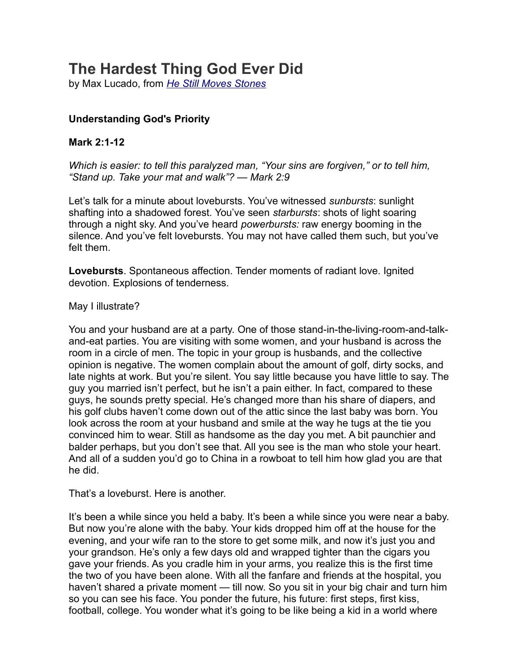# The Hardest Thing God Ever Did

by Max Lucado, from He Still Moves Stones

## Understanding God's Priority

#### Mark 2:1-12

Which is easier: to tell this paralyzed man, "Your sins are forgiven," or to tell him, "Stand up. Take your mat and walk"? — Mark 2:9

Let's talk for a minute about lovebursts. You've witnessed sunbursts: sunlight shafting into a shadowed forest. You've seen starbursts: shots of light soaring through a night sky. And you've heard powerbursts: raw energy booming in the silence. And you've felt lovebursts. You may not have called them such, but you've felt them.

Lovebursts. Spontaneous affection. Tender moments of radiant love. Ignited devotion. Explosions of tenderness.

May I illustrate?

You and your husband are at a party. One of those stand-in-the-living-room-and-talkand-eat parties. You are visiting with some women, and your husband is across the room in a circle of men. The topic in your group is husbands, and the collective opinion is negative. The women complain about the amount of golf, dirty socks, and late nights at work. But you're silent. You say little because you have little to say. The guy you married isn't perfect, but he isn't a pain either. In fact, compared to these guys, he sounds pretty special. He's changed more than his share of diapers, and his golf clubs haven't come down out of the attic since the last baby was born. You look across the room at your husband and smile at the way he tugs at the tie you convinced him to wear. Still as handsome as the day you met. A bit paunchier and balder perhaps, but you don't see that. All you see is the man who stole your heart. And all of a sudden you'd go to China in a rowboat to tell him how glad you are that he did.

That's a loveburst. Here is another.

It's been a while since you held a baby. It's been a while since you were near a baby. But now you're alone with the baby. Your kids dropped him off at the house for the evening, and your wife ran to the store to get some milk, and now it's just you and your grandson. He's only a few days old and wrapped tighter than the cigars you gave your friends. As you cradle him in your arms, you realize this is the first time the two of you have been alone. With all the fanfare and friends at the hospital, you haven't shared a private moment — till now. So you sit in your big chair and turn him so you can see his face. You ponder the future, his future: first steps, first kiss, football, college. You wonder what it's going to be like being a kid in a world where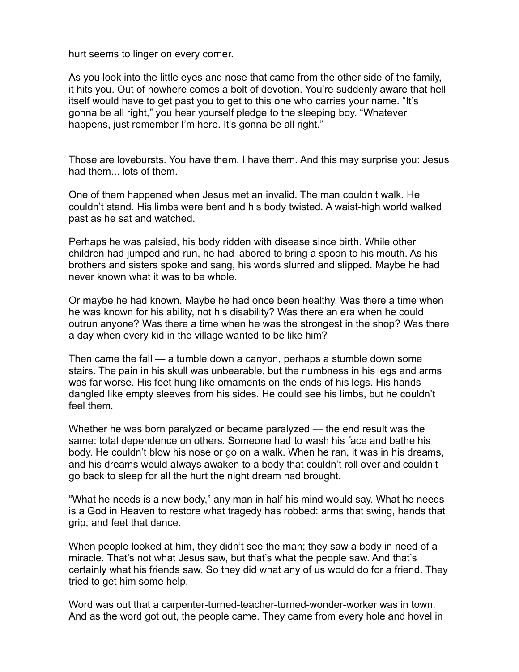hurt seems to linger on every corner.

As you look into the little eyes and nose that came from the other side of the family, it hits you. Out of nowhere comes a bolt of devotion. You're suddenly aware that hell itself would have to get past you to get to this one who carries your name. "It's gonna be all right," you hear yourself pledge to the sleeping boy. "Whatever happens, just remember I'm here. It's gonna be all right."

Those are lovebursts. You have them. I have them. And this may surprise you: Jesus had them... lots of them.

One of them happened when Jesus met an invalid. The man couldn't walk. He couldn't stand. His limbs were bent and his body twisted. A waist-high world walked past as he sat and watched.

Perhaps he was palsied, his body ridden with disease since birth. While other children had jumped and run, he had labored to bring a spoon to his mouth. As his brothers and sisters spoke and sang, his words slurred and slipped. Maybe he had never known what it was to be whole.

Or maybe he had known. Maybe he had once been healthy. Was there a time when he was known for his ability, not his disability? Was there an era when he could outrun anyone? Was there a time when he was the strongest in the shop? Was there a day when every kid in the village wanted to be like him?

Then came the fall — a tumble down a canyon, perhaps a stumble down some stairs. The pain in his skull was unbearable, but the numbness in his legs and arms was far worse. His feet hung like ornaments on the ends of his legs. His hands dangled like empty sleeves from his sides. He could see his limbs, but he couldn't feel them.

Whether he was born paralyzed or became paralyzed — the end result was the same: total dependence on others. Someone had to wash his face and bathe his body. He couldn't blow his nose or go on a walk. When he ran, it was in his dreams, and his dreams would always awaken to a body that couldn't roll over and couldn't go back to sleep for all the hurt the night dream had brought.

"What he needs is a new body," any man in half his mind would say. What he needs is a God in Heaven to restore what tragedy has robbed: arms that swing, hands that grip, and feet that dance.

When people looked at him, they didn't see the man; they saw a body in need of a miracle. That's not what Jesus saw, but that's what the people saw. And that's certainly what his friends saw. So they did what any of us would do for a friend. They tried to get him some help.

Word was out that a carpenter-turned-teacher-turned-wonder-worker was in town. And as the word got out, the people came. They came from every hole and hovel in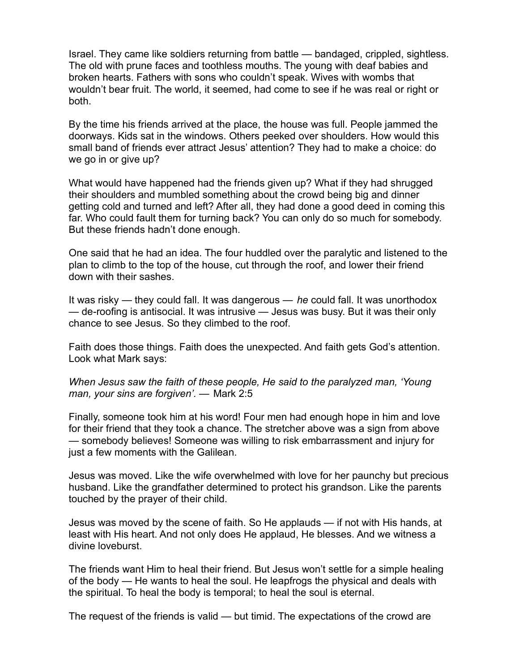Israel. They came like soldiers returning from battle — bandaged, crippled, sightless. The old with prune faces and toothless mouths. The young with deaf babies and broken hearts. Fathers with sons who couldn't speak. Wives with wombs that wouldn't bear fruit. The world, it seemed, had come to see if he was real or right or both.

By the time his friends arrived at the place, the house was full. People jammed the doorways. Kids sat in the windows. Others peeked over shoulders. How would this small band of friends ever attract Jesus' attention? They had to make a choice: do we go in or give up?

What would have happened had the friends given up? What if they had shrugged their shoulders and mumbled something about the crowd being big and dinner getting cold and turned and left? After all, they had done a good deed in coming this far. Who could fault them for turning back? You can only do so much for somebody. But these friends hadn't done enough.

One said that he had an idea. The four huddled over the paralytic and listened to the plan to climb to the top of the house, cut through the roof, and lower their friend down with their sashes.

It was risky — they could fall. It was dangerous — he could fall. It was unorthodox — de-roofing is antisocial. It was intrusive — Jesus was busy. But it was their only chance to see Jesus. So they climbed to the roof.

Faith does those things. Faith does the unexpected. And faith gets God's attention. Look what Mark says:

When Jesus saw the faith of these people, He said to the paralyzed man, 'Young man, your sins are forgiven'. — Mark 2:5

Finally, someone took him at his word! Four men had enough hope in him and love for their friend that they took a chance. The stretcher above was a sign from above — somebody believes! Someone was willing to risk embarrassment and injury for just a few moments with the Galilean.

Jesus was moved. Like the wife overwhelmed with love for her paunchy but precious husband. Like the grandfather determined to protect his grandson. Like the parents touched by the prayer of their child.

Jesus was moved by the scene of faith. So He applauds — if not with His hands, at least with His heart. And not only does He applaud, He blesses. And we witness a divine loveburst.

The friends want Him to heal their friend. But Jesus won't settle for a simple healing of the body — He wants to heal the soul. He leapfrogs the physical and deals with the spiritual. To heal the body is temporal; to heal the soul is eternal.

The request of the friends is valid — but timid. The expectations of the crowd are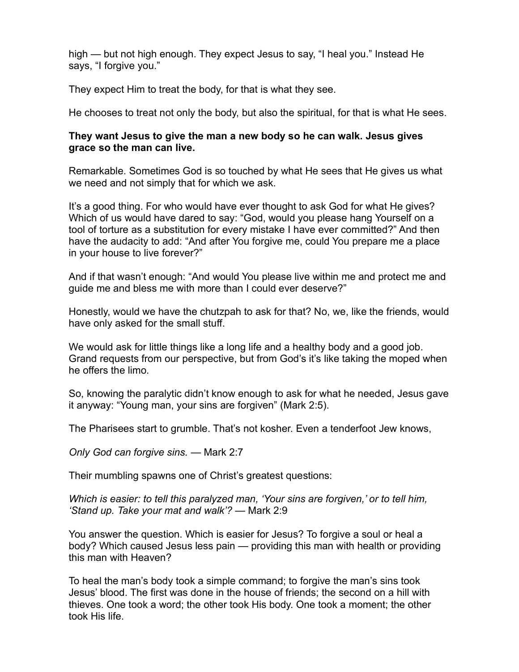high — but not high enough. They expect Jesus to say, "I heal you." Instead He says, "I forgive you."

They expect Him to treat the body, for that is what they see.

He chooses to treat not only the body, but also the spiritual, for that is what He sees.

### They want Jesus to give the man a new body so he can walk. Jesus gives grace so the man can live.

Remarkable. Sometimes God is so touched by what He sees that He gives us what we need and not simply that for which we ask.

It's a good thing. For who would have ever thought to ask God for what He gives? Which of us would have dared to say: "God, would you please hang Yourself on a tool of torture as a substitution for every mistake I have ever committed?" And then have the audacity to add: "And after You forgive me, could You prepare me a place in your house to live forever?"

And if that wasn't enough: "And would You please live within me and protect me and guide me and bless me with more than I could ever deserve?"

Honestly, would we have the chutzpah to ask for that? No, we, like the friends, would have only asked for the small stuff.

We would ask for little things like a long life and a healthy body and a good job. Grand requests from our perspective, but from God's it's like taking the moped when he offers the limo.

So, knowing the paralytic didn't know enough to ask for what he needed, Jesus gave it anyway: "Young man, your sins are forgiven" (Mark 2:5).

The Pharisees start to grumble. That's not kosher. Even a tenderfoot Jew knows,

Only God can forgive sins. — Mark 2:7

Their mumbling spawns one of Christ's greatest questions:

Which is easier: to tell this paralyzed man, 'Your sins are forgiven,' or to tell him, 'Stand up. Take your mat and walk'? — Mark 2:9

You answer the question. Which is easier for Jesus? To forgive a soul or heal a body? Which caused Jesus less pain — providing this man with health or providing this man with Heaven?

To heal the man's body took a simple command; to forgive the man's sins took Jesus' blood. The first was done in the house of friends; the second on a hill with thieves. One took a word; the other took His body. One took a moment; the other took His life.